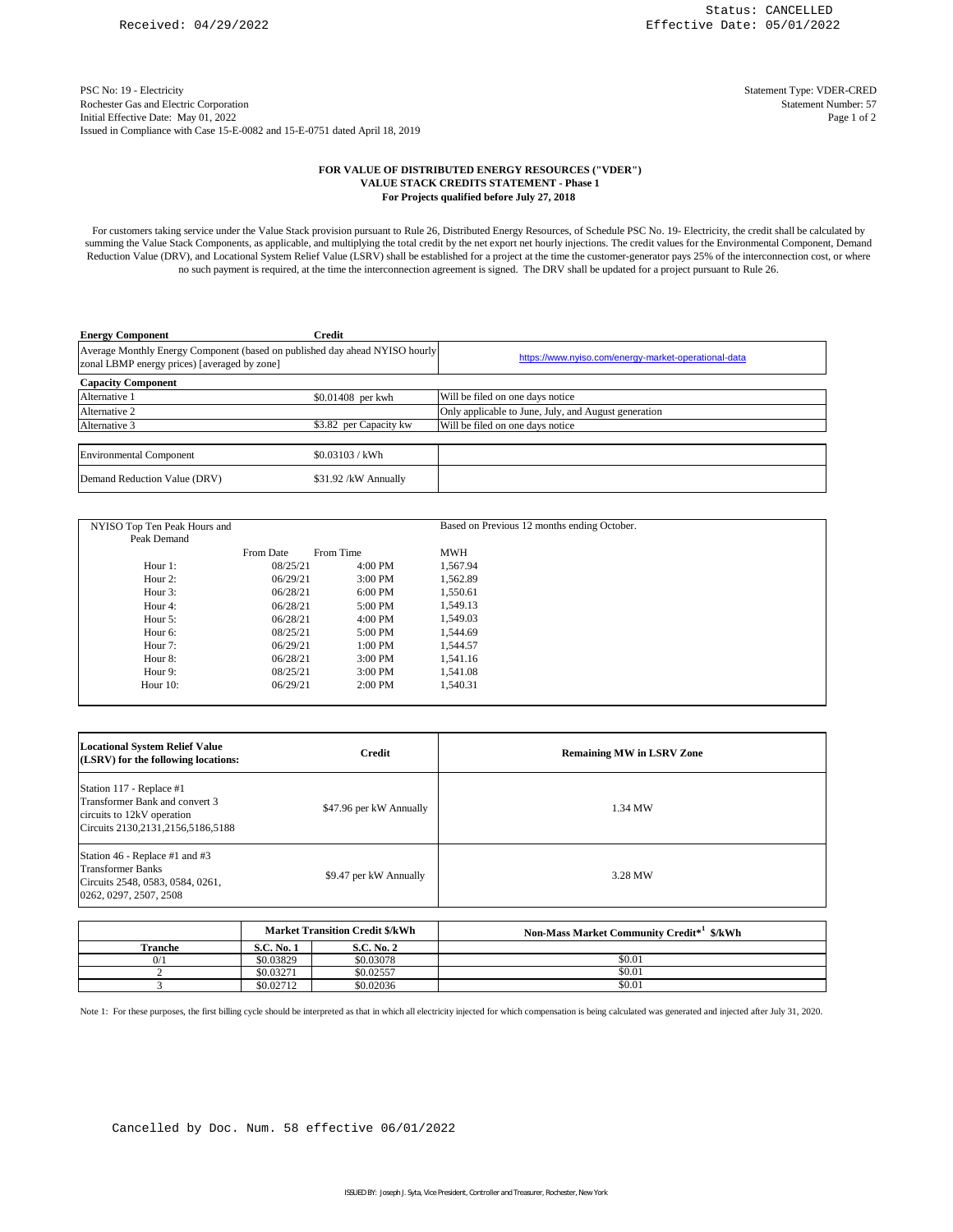PSC No: 19 - Electricity Statement Type: VDER-CRED Rochester Gas and Electric Corporation Issued in Compliance with Case 15-E-0082 and 15-E-0751 dated April 18, 2019 Initial Effective Date: May 01, 2022

Page 1 of 2 Statement Number: 57

## **FOR VALUE OF DISTRIBUTED ENERGY RESOURCES ("VDER") VALUE STACK CREDITS STATEMENT - Phase 1 For Projects qualified before July 27, 2018**

For customers taking service under the Value Stack provision pursuant to Rule 26, Distributed Energy Resources, of Schedule PSC No. 19- Electricity, the credit shall be calculated by summing the Value Stack Components, as applicable, and multiplying the total credit by the net export net hourly injections. The credit values for the Environmental Component, Demand Reduction Value (DRV), and Locational System Relief Value (LSRV) shall be established for a project at the time the customer-generator pays 25% of the interconnection cost, or where no such payment is required, at the time the interconnection agreement is signed. The DRV shall be updated for a project pursuant to Rule 26.

| <b>Energy Component</b>                                                                                                     | Credit                 |                                                      |
|-----------------------------------------------------------------------------------------------------------------------------|------------------------|------------------------------------------------------|
| Average Monthly Energy Component (based on published day ahead NYISO hourly<br>zonal LBMP energy prices) [averaged by zone] |                        | https://www.nyiso.com/energy-market-operational-data |
| <b>Capacity Component</b>                                                                                                   |                        |                                                      |
| Alternative 1                                                                                                               | \$0.01408 per kwh      | Will be filed on one days notice                     |
| Alternative 2                                                                                                               |                        | Only applicable to June, July, and August generation |
| Alternative 3                                                                                                               | \$3.82 per Capacity kw | Will be filed on one days notice                     |
|                                                                                                                             |                        |                                                      |
| <b>Environmental Component</b>                                                                                              | \$0.03103 / kWh        |                                                      |
| Demand Reduction Value (DRV)                                                                                                | \$31.92 /kW Annually   |                                                      |

| NYISO Top Ten Peak Hours and<br>Peak Demand |           |           | Based on Previous 12 months ending October. |  |
|---------------------------------------------|-----------|-----------|---------------------------------------------|--|
|                                             |           |           |                                             |  |
|                                             | From Date | From Time | <b>MWH</b>                                  |  |
| Hour $1$ :                                  | 08/25/21  | $4:00$ PM | 1.567.94                                    |  |
| Hour $2$ :                                  | 06/29/21  | $3:00$ PM | 1.562.89                                    |  |
| Hour 3:                                     | 06/28/21  | $6:00$ PM | 1,550.61                                    |  |
| Hour 4:                                     | 06/28/21  | 5:00 PM   | 1,549.13                                    |  |
| Hour $5$ :                                  | 06/28/21  | $4:00$ PM | 1,549.03                                    |  |
| Hour 6:                                     | 08/25/21  | 5:00 PM   | 1,544.69                                    |  |
| Hour 7:                                     | 06/29/21  | $1:00$ PM | 1.544.57                                    |  |
| Hour 8:                                     | 06/28/21  | $3:00$ PM | 1,541.16                                    |  |
| Hour 9:                                     | 08/25/21  | $3:00$ PM | 1.541.08                                    |  |
| Hour $10$ :                                 | 06/29/21  | $2:00$ PM | 1,540.31                                    |  |

| <b>Locational System Relief Value</b><br>(LSRV) for the following locations:                                                      | Credit                  | <b>Remaining MW in LSRV Zone</b> |
|-----------------------------------------------------------------------------------------------------------------------------------|-------------------------|----------------------------------|
| Station 117 - Replace #1<br>Transformer Bank and convert 3<br>circuits to 12kV operation<br>Circuits 2130, 2131, 2156, 5186, 5188 | \$47.96 per kW Annually | 1.34 MW                          |
| Station 46 - Replace #1 and #3<br><b>Transformer Banks</b><br>Circuits 2548, 0583, 0584, 0261,<br>0262, 0297, 2507, 2508          | \$9.47 per kW Annually  | 3.28 MW                          |

|         |                   | <b>Market Transition Credit \$/kWh</b> | Non-Mass Market Community Credit* <sup>1</sup> \$/kWh |
|---------|-------------------|----------------------------------------|-------------------------------------------------------|
| Tranche | <b>S.C. No. 1</b> | <b>S.C. No. 2</b>                      |                                                       |
| 0/1     | \$0.03829         | \$0.03078                              | \$0.01                                                |
|         | \$0.03271         | \$0.02557                              | \$0.01                                                |
|         | \$0.02712         | \$0.02036                              | \$0.01                                                |

Note 1: For these purposes, the first billing cycle should be interpreted as that in which all electricity injected for which compensation is being calculated was generated and injected after July 31, 2020.

Cancelled by Doc. Num. 58 effective 06/01/2022